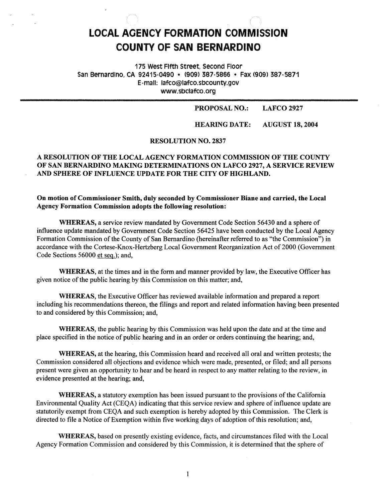# **LOCAL AOENCY FORMATION COMMISSION COUNTY OF SAN BERNARDINO**

175 west Fifth Street. second Floor San Bernardino. CA 92415-0490 • <909) 387-5866 • Fax <909> 387-5871 E-mail: lafco@lafco.sbcounty.gov www.sbclafco.org

> PROPOSAL NO.: LAFCO2927

HEARING DATE: AUGUST 18, 2004

#### RESOLUTION NO. 2837

# **A RESOLUTION OF THE LOCAL AGENCY FORMATION COMMISSION OF THE COUNTY OF SAN BERNARDINO MAKING DETERMINATIONS ON LAFCO 2927, A SERVICE REVIEW AND SPHERE OF INFLUENCE UPDATE FOR THE CITY OF HIGHLAND.**

**On motion of Commissioner Smith, duly seconded by Commissioner Diane and carried, the Local Agency Formation Commission adopts the following resolution:** 

**WHEREAS,** a service review mandated by Government Code Section 56430 and a sphere of influence update mandated by Government Code Section 56425 have been conducted by the Local Agency Fonnation Commission of the County of San Bernardino (hereinafter referred to as "the Commission") in accordance with the Cortese-Knox-Hertzberg Local Government Reorganization Act of 2000 (Government Code Sections 56000 et seq.); and,

**WHEREAS,** at the times and in the form and manner provided by law, the Executive Officer has given notice of the public hearing by this Commission on this matter; and,

**WHEREAS,** the Executive Officer has reviewed available information and prepared a report including his recommendations thereon, the filings and report and related information having been presented to and considered by this Commission; and,

**WHEREAS,** the public hearing by this Commission was held upon the date and at the time and place specified in the notice of public hearing and in an order or orders continuing the hearing; and,

**WHEREAS,** at the hearing, this Commission heard and received all oral and written protests; the Commission considered all objections and evidence which were made, presented, or filed; and all persons present were given an opportunity to hear and be heard in respect to any matter relating to the review, in evidence presented at the hearing; and,

**WHEREAS,** a statutory exemption has been issued pursuant to the provisions of the California Environmental Quality Act (CEQA) indicating that this service review and sphere of influence update are statutorily exempt from CEQA and such exemption is hereby adopted by this Commission. The Clerk is directed to file a Notice of Exemption within five working days of adoption of this resolution; and,

**WHEREAS,** based on presently existing evidence, facts, and circumstances filed with the Local Agency Formation Commission and considered by this Commission, it is determined that the sphere of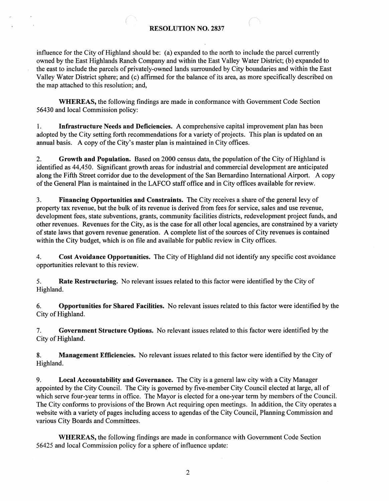#### **RESOLUTION NO. 2837**

influence for the City of Highland should be: (a) expanded to the north to include the parcel currently owned by the East Highlands Ranch Company and within the East Valley Water District; (b) expanded to the east to include the parcels of privately-owned lands surrounded by City boundaries and within the East Valley Water District sphere; and (c) affirmed for the balance of its area, as more specifically described on the map attached to this resolution; and,

**WHEREAS,** the following findings are made in conformance with Government Code Section 56430 and local Commission policy:

1. **Infrastructure Needs and Deficiencies.** A comprehensive capital improvement plan has been adopted by the City setting forth recommendations for a variety of projects. This plan is updated on an annual basis. A copy of the City's master plan is maintained in City offices.

2. **Growth and Population.** Based on 2000 census data, the population of the City of Highland is identified as 44,450. Significant growth areas for industrial and commercial development are anticipated along the Fifth Street corridor due to the development of the San Bernardino International Airport. A copy of the General Plan is maintained in the LAFCO staff office and in City offices available for review.

3. **Financing Opportunities and Constraints.** The City receives a share of the general levy of property tax revenue, but the bulk of its revenue is derived from fees for service, sales and use revenue, development fees, state subventions, grants, community facilities districts, redevelopment project funds, and other revenues. Revenues for the City, as is the case for all other local agencies, are constrained by a variety of state laws that govern revenue generation. A complete list of the sources of City revenues is contained within the City budget, which is on file and available for public review in City offices.

4. **Cost Avoidance Opportunities.** The City of Highland did not identify any specific cost avoidance opportunities relevant to this review.

5. **Rate Restructuring.** No relevant issues related to this factor were identified by the City of Highland.

6. **Opportunities for Shared Facilities.** No relevant issues related to this factor were identified by the City of Highland.

7. **Government Structure Options.** No relevant issues related to this factor were identified by the City of Highland.

8. **Management Efficiencies.** No relevant issues related to this factor were identified by the City of Highland.

9. **Local Accountability and Governance.** The City is a general law city with a City Manager appointed by the City Council. The City is governed by five-member City Council elected at large, all of which serve four-year terms in office. The Mayor is elected for a one-year term by members of the Council. The City conforms to provisions of the Brown Act requiring open meetings. In addition, the City operates a website with a variety of pages including access to agendas of the City Council, Planning Commission and various City Boards and Committees.

**WHEREAS,** the following findings are made in conformance with Government Code Section 56425 and local Commission policy for a sphere of influence update: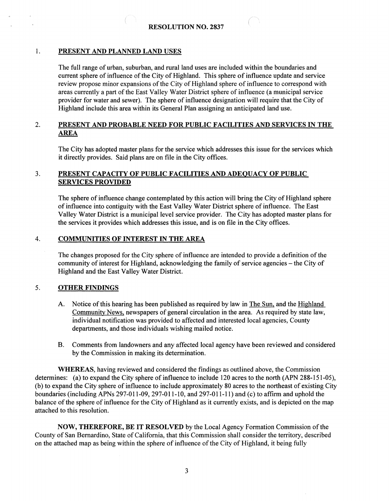### 1. **PRESENT AND PLANNED LAND USES**

The full range of urban, suburban, and rural land uses are included within the boundaries and current sphere of influence of the City of Highland. This sphere of influence update and service review propose minor expansions of the City of Highland sphere of influence to correspond with areas currently a part of the East Valley Water District sphere of influence (a municipal service provider for water and sewer). The sphere of influence designation will require that the City of Highland include this area within its General Plan assigning an anticipated land use.

# 2. **PRESENT AND PROBABLE NEED FOR PUBLIC FACILITIES AND SERVICES** IN **THE AREA**

The City has adopted master plans for the service which addresses this issue for the services which it directly provides. Said plans are on file in the City offices.

#### 3. **PRESENT CAPACITY OF PUBLIC FACILITIES AND ADEQUACY OF PUBLIC SERVICES PROVIDED**

The sphere of influence change contemplated by this action will bring the City of Highland sphere of influence into contiguity with the East Valley Water District sphere of influence. The East Valley Water District is a municipal level service provider. The City has adopted master plans for the services it provides which addresses this issue, and is on file in the City offices.

#### 4. **COMMUNITIES OF INTEREST IN THE AREA**

The changes proposed for the City sphere of influence are intended to provide a definition of the community of interest for Highland, acknowledging the family of service agencies - the City of Highland and the East Valley Water District.

### 5. **OTHER FINDINGS**

- A. Notice of this hearing has been published as required by law in The Sun, and the Highland Community News. newspapers of general circulation in the area. As required by state law, individual notification was provided to affected and interested local agencies, County departments, and those individuals wishing mailed notice.
- B. Comments from landowners and any affected local agency have been reviewed and considered by the Commission in making its determination.

**WHEREAS,** having reviewed and considered the findings as outlined above, the Commission determines: (a) to expand the City sphere of influence to include 120 acres to the north (APN 288-151-05), (b) to expand the City sphere of influence to include approximately 80 acres to the northeast of existing City boundaries (including APNs 297-011-09, 297-011-10, and 297-011-11) and (c) to affirm and uphold the balance of the sphere of influence for the City of Highland as it currently exists, and is depicted on the map attached to this resolution.

**NOW, THEREFORE, BE** IT **RESOLVED** by the Local Agency Formation Commission of the County of San Bernardino, State of California, that this Commission shall consider the territory, described on the attached map as being within the sphere of influence of the City of Highland, it being fully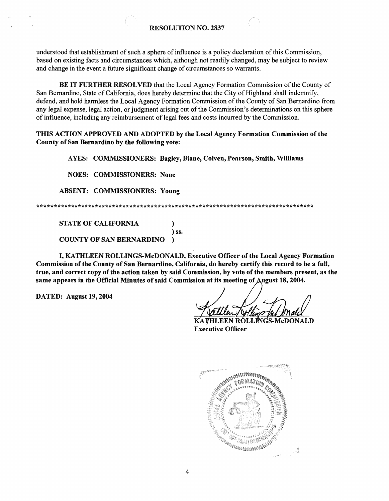understood that establishment of such a sphere of influence is a policy declaration of this Commission, based on existing facts and circumstances which, although not readily changed, may be subject to review and change in the event a future significant change of circumstances so warrants.

BE IT FURTHER RESOLVED that the Local Agency Formation Commission of the County of San Bernardino, State of California, does hereby determine that the City of Highland shall indemnify, defend, and hold harmless the Local Agency Formation Commission of the County of San Bernardino from any legal expense, legal action, or judgment arising out of the Commission's determinations on this sphere of influence, including any reimbursement of legal fees and costs incurred by the Commission.

THIS ACTION APPROVED AND ADOPTED by the Local Agency Formation Commission of the County of San Bernardino by the following vote:

AYES: COMMISSIONERS: Bagley, Biane, Colven, Pearson, Smith, Williams

**NOES: COMMISSIONERS: None** 

**ABSENT: COMMISSIONERS: Young** 

**STATE OF CALIFORNIA**  $\lambda$  $\sum$  SS.

**COUNTY OF SAN BERNARDINO**  $\lambda$ 

I, KATHLEEN ROLLINGS-McDONALD, Executive Officer of the Local Agency Formation Commission of the County of San Bernardino, California, do hereby certify this record to be a full, true, and correct copy of the action taken by said Commission, by vote of the members present, as the same appears in the Official Minutes of said Commission at its meeting of August 18, 2004.

DATED: August 19, 2004

**ROLLINGS-McDONALD Executive Officer**